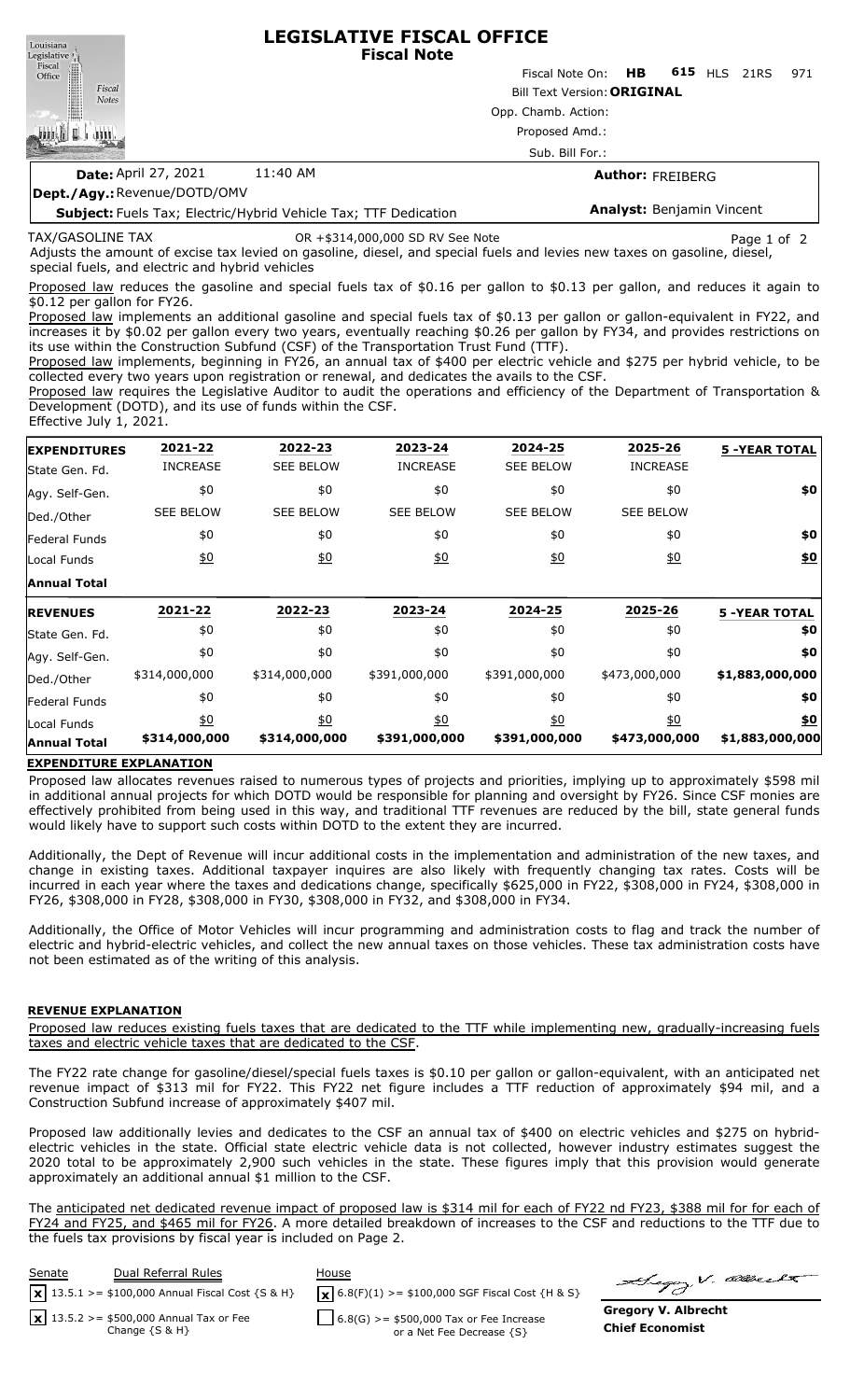**LEGISLATIVE FISCAL OFFICE** Louisiana **Fiscal Note** Legislative <sub>[1]</sub> Fiscal ∰ Fiscal Note On: **HB 615** HLS 21RS 971 Office Fiscal Bill Text Version:**ORIGINAL Notes** Opp. Chamb. Action: 咖啡! Proposed Amd.: Sub. Bill For.: **Date:** April 27, 2021 11:40 AM **Author:** FREIBERG **Dept./Agy.:** Revenue/DOTD/OMV

**Subject:** Fuels Tax; Electric/Hybrid Vehicle Tax; TTF Dedication

#### TAX/GASOLINE TAX

OR +\$314,000,000 SD RV See Note Page 1 of 2

Adjusts the amount of excise tax levied on gasoline, diesel, and special fuels and levies new taxes on gasoline, diesel, special fuels, and electric and hybrid vehicles

Proposed law reduces the gasoline and special fuels tax of \$0.16 per gallon to \$0.13 per gallon, and reduces it again to \$0.12 per gallon for FY26.

Proposed law implements an additional gasoline and special fuels tax of \$0.13 per gallon or gallon-equivalent in FY22, and increases it by \$0.02 per gallon every two years, eventually reaching \$0.26 per gallon by FY34, and provides restrictions on its use within the Construction Subfund (CSF) of the Transportation Trust Fund (TTF).

Proposed law implements, beginning in FY26, an annual tax of \$400 per electric vehicle and \$275 per hybrid vehicle, to be collected every two years upon registration or renewal, and dedicates the avails to the CSF.

Proposed law requires the Legislative Auditor to audit the operations and efficiency of the Department of Transportation & Development (DOTD), and its use of funds within the CSF.

Effective July 1, 2021.

| 2021-22                           | 2022-23             | 2023-24                           | 2024-25          | 2025-26          | <b>5 -YEAR TOTAL</b>           |
|-----------------------------------|---------------------|-----------------------------------|------------------|------------------|--------------------------------|
| <b>INCREASE</b>                   | <b>SEE BELOW</b>    | <b>INCREASE</b>                   | <b>SEE BELOW</b> | <b>INCREASE</b>  |                                |
| \$0                               | \$0                 | \$0                               | \$0              | \$0              | \$0                            |
| <b>SEE BELOW</b>                  | <b>SEE BELOW</b>    | <b>SEE BELOW</b>                  | <b>SEE BELOW</b> | <b>SEE BELOW</b> |                                |
| \$0                               | \$0                 | \$0                               | \$0              | \$0              | \$0                            |
| $\underline{\$0}$                 | 60                  | $\underline{40}$                  | 60               | $\underline{50}$ | \$0                            |
|                                   |                     |                                   |                  |                  |                                |
| 2021-22                           | 2022-23             | 2023-24                           | 2024-25          | 2025-26          | <b>5 -YEAR TOTAL</b>           |
| \$0                               | \$0                 | \$0                               | \$0              | \$0              | \$0                            |
| \$0                               | \$0                 | \$0                               | \$0              | \$0              | \$0                            |
| \$314,000,000                     | \$314,000,000       | \$391,000,000                     | \$391,000,000    | \$473,000,000    | \$1,883,000,000                |
| \$0                               | \$0                 | \$0                               | \$0              | \$0              | \$0                            |
| $\underline{50}$<br>\$314,000,000 | 60<br>\$314,000,000 | $\underline{40}$<br>\$391,000,000 | $\underline{40}$ | $\underline{50}$ | <u>\$0</u><br>\$1,883,000,000  |
|                                   |                     |                                   |                  |                  | \$391,000,000<br>\$473,000,000 |

### **EXPENDITURE EXPLANATION**

Proposed law allocates revenues raised to numerous types of projects and priorities, implying up to approximately \$598 mil in additional annual projects for which DOTD would be responsible for planning and oversight by FY26. Since CSF monies are effectively prohibited from being used in this way, and traditional TTF revenues are reduced by the bill, state general funds would likely have to support such costs within DOTD to the extent they are incurred.

Additionally, the Dept of Revenue will incur additional costs in the implementation and administration of the new taxes, and change in existing taxes. Additional taxpayer inquires are also likely with frequently changing tax rates. Costs will be incurred in each year where the taxes and dedications change, specifically \$625,000 in FY22, \$308,000 in FY24, \$308,000 in FY26, \$308,000 in FY28, \$308,000 in FY30, \$308,000 in FY32, and \$308,000 in FY34.

Additionally, the Office of Motor Vehicles will incur programming and administration costs to flag and track the number of electric and hybrid-electric vehicles, and collect the new annual taxes on those vehicles. These tax administration costs have not been estimated as of the writing of this analysis.

### **REVENUE EXPLANATION**

Proposed law reduces existing fuels taxes that are dedicated to the TTF while implementing new, gradually-increasing fuels taxes and electric vehicle taxes that are dedicated to the CSF.

The FY22 rate change for gasoline/diesel/special fuels taxes is \$0.10 per gallon or gallon-equivalent, with an anticipated net revenue impact of \$313 mil for FY22. This FY22 net figure includes a TTF reduction of approximately \$94 mil, and a Construction Subfund increase of approximately \$407 mil.

Proposed law additionally levies and dedicates to the CSF an annual tax of \$400 on electric vehicles and \$275 on hybridelectric vehicles in the state. Official state electric vehicle data is not collected, however industry estimates suggest the 2020 total to be approximately 2,900 such vehicles in the state. These figures imply that this provision would generate approximately an additional annual \$1 million to the CSF.

The anticipated net dedicated revenue impact of proposed law is \$314 mil for each of FY22 nd FY23, \$388 mil for for each of FY24 and FY25, and \$465 mil for FY26. A more detailed breakdown of increases to the CSF and reductions to the TTF due to the fuels tax provisions by fiscal year is included on Page 2.



Gregory V. allecte

**Gregory V. Albrecht Chief Economist**

**Analyst:** Benjamin Vincent